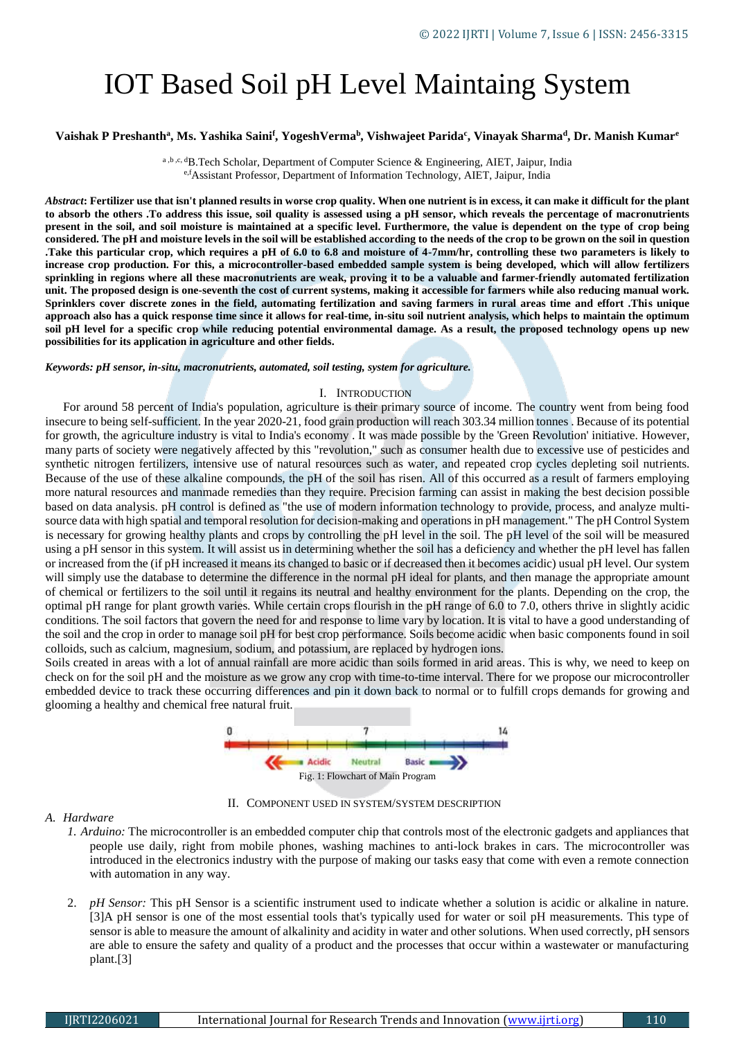# IOT Based Soil pH Level Maintaing System

## **Vaishak P Preshanth<sup>a</sup> , Ms. Yashika Saini<sup>f</sup> , YogeshVerma<sup>b</sup> , Vishwajeet Parida<sup>c</sup> , Vinayak Sharma<sup>d</sup> , Dr. Manish Kumar<sup>e</sup>**

a,b,c, dB.Tech Scholar, Department of Computer Science & Engineering, AIET, Jaipur, India e,fAssistant Professor, Department of Information Technology, AIET, Jaipur, India

*Abstract***: Fertilizer use that isn't planned results in worse crop quality. When one nutrient is in excess, it can make it difficult for the plant to absorb the others .To address this issue, soil quality is assessed using a pH sensor, which reveals the percentage of macronutrients present in the soil, and soil moisture is maintained at a specific level. Furthermore, the value is dependent on the type of crop being considered. The pH and moisture levels in the soil will be established according to the needs of the crop to be grown on the soil in question .Take this particular crop, which requires a pH of 6.0 to 6.8 and moisture of 4-7mm/hr, controlling these two parameters is likely to increase crop production. For this, a microcontroller-based embedded sample system is being developed, which will allow fertilizers sprinkling in regions where all these macronutrients are weak, proving it to be a valuable and farmer-friendly automated fertilization unit. The proposed design is one-seventh the cost of current systems, making it accessible for farmers while also reducing manual work. Sprinklers cover discrete zones in the field, automating fertilization and saving farmers in rural areas time and effort .This unique approach also has a quick response time since it allows for real-time, in-situ soil nutrient analysis, which helps to maintain the optimum soil pH level for a specific crop while reducing potential environmental damage. As a result, the proposed technology opens up new possibilities for its application in agriculture and other fields.**

#### *Keywords: pH sensor, in-situ, macronutrients, automated, soil testing, system for agriculture.*

#### I. INTRODUCTION

For around 58 percent of India's population, agriculture is their primary source of income. The country went from being food insecure to being self-sufficient. In the year 2020-21, food grain production will reach 303.34 million tonnes . Because of its potential for growth, the agriculture industry is vital to India's economy . It was made possible by the 'Green Revolution' initiative. However, many parts of society were negatively affected by this "revolution," such as consumer health due to excessive use of pesticides and synthetic nitrogen fertilizers, intensive use of natural resources such as water, and repeated crop cycles depleting soil nutrients. Because of the use of these alkaline compounds, the pH of the soil has risen. All of this occurred as a result of farmers employing more natural resources and manmade remedies than they require. Precision farming can assist in making the best decision possible based on data analysis. pH control is defined as "the use of modern information technology to provide, process, and analyze multisource data with high spatial and temporal resolution for decision-making and operations in pH management." The pH Control System is necessary for growing healthy plants and crops by controlling the pH level in the soil. The pH level of the soil will be measured using a pH sensor in this system. It will assist us in determining whether the soil has a deficiency and whether the pH level has fallen or increased from the (if pH increased it means its changed to basic or if decreased then it becomes acidic) usual pH level. Our system will simply use the database to determine the difference in the normal pH ideal for plants, and then manage the appropriate amount of chemical or fertilizers to the soil until it regains its neutral and healthy environment for the plants. Depending on the crop, the optimal pH range for plant growth varies. While certain crops flourish in the pH range of 6.0 to 7.0, others thrive in slightly acidic conditions. The soil factors that govern the need for and response to lime vary by location. It is vital to have a good understanding of the soil and the crop in order to manage soil pH for best crop performance. Soils become acidic when basic components found in soil colloids, such as calcium, magnesium, sodium, and potassium, are replaced by hydrogen ions.

Soils created in areas with a lot of annual rainfall are more acidic than soils formed in arid areas. This is why, we need to keep on check on for the soil pH and the moisture as we grow any crop with time-to-time interval. There for we propose our microcontroller embedded device to track these occurring differences and pin it down back to normal or to fulfill crops demands for growing and glooming a healthy and chemical free natural fruit.



II. COMPONENT USED IN SYSTEM/SYSTEM DESCRIPTION

#### *A. Hardware*

- *1. Arduino:* The microcontroller is an embedded computer chip that controls most of the electronic gadgets and appliances that people use daily, right from mobile phones, washing machines to anti-lock brakes in cars. The microcontroller was introduced in the electronics industry with the purpose of making our tasks easy that come with even a remote connection with automation in any way.
- 2. *pH Sensor:* This pH Sensor is a scientific instrument used to indicate whether a solution is acidic or alkaline in nature. [3]A pH sensor is one of the most essential tools that's typically used for water or soil pH measurements. This type of sensor is able to measure the amount of alkalinity and acidity in water and other solutions. When used correctly, pH sensors are able to ensure the safety and quality of a product and the processes that occur within a wastewater or manufacturing plant.[3]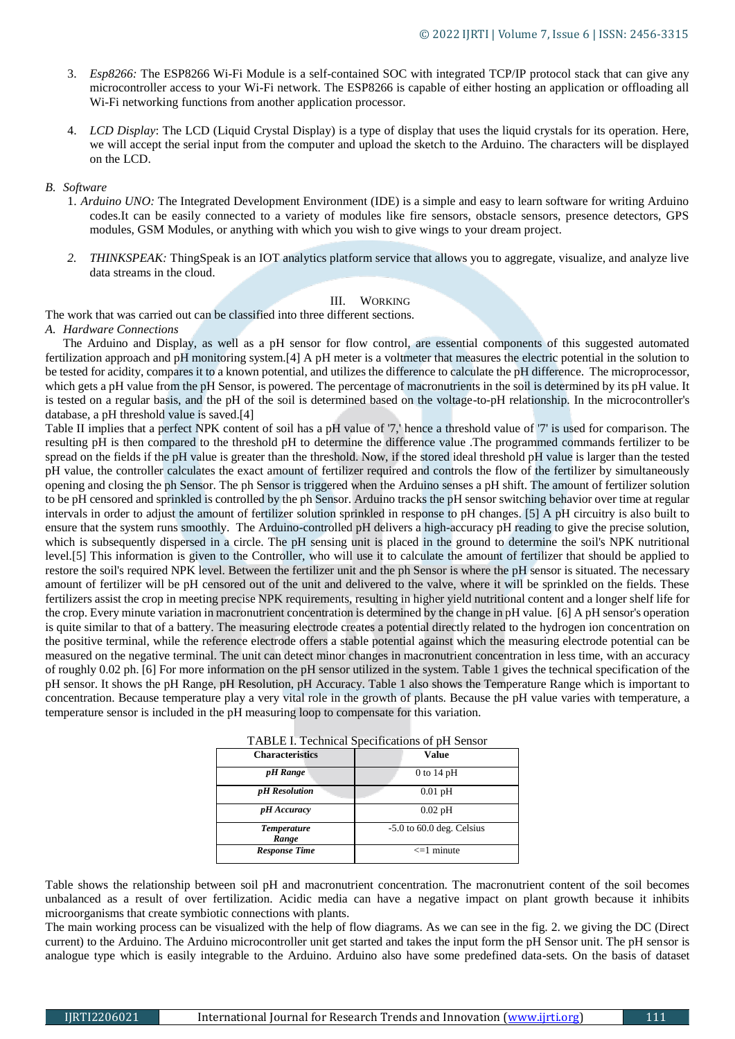- 3. *Esp8266:* The ESP8266 Wi-Fi Module is a self-contained SOC with integrated TCP/IP protocol stack that can give any microcontroller access to your Wi-Fi network. The ESP8266 is capable of either hosting an application or offloading all Wi-Fi networking functions from another application processor.
- 4. *LCD Display*: The LCD (Liquid Crystal Display) is a type of display that uses the liquid crystals for its operation. Here, we will accept the serial input from the computer and upload the sketch to the Arduino. The characters will be displayed on the LCD.

## *B. Software*

- 1. *Arduino UNO:* The Integrated Development Environment (IDE) is a simple and easy to learn software for writing Arduino codes.It can be easily connected to a variety of modules like fire sensors, obstacle sensors, presence detectors, GPS modules, GSM Modules, or anything with which you wish to give wings to your dream project.
- *2. THINKSPEAK:* ThingSpeak is an IOT analytics platform service that allows you to aggregate, visualize, and analyze live data streams in the cloud.

#### III. WORKING

The work that was carried out can be classified into three different sections.

#### *A. Hardware Connections*

The Arduino and Display, as well as a pH sensor for flow control, are essential components of this suggested automated fertilization approach and pH monitoring system.[4] A pH meter is a voltmeter that measures the electric potential in the solution to be tested for acidity, compares it to a known potential, and utilizes the difference to calculate the pH difference. The microprocessor, which gets a pH value from the pH Sensor, is powered. The percentage of macronutrients in the soil is determined by its pH value. It is tested on a regular basis, and the pH of the soil is determined based on the voltage-to-pH relationship. In the microcontroller's database, a pH threshold value is saved.[4]

Table II implies that a perfect NPK content of soil has a pH value of '7,' hence a threshold value of '7' is used for comparison. The resulting pH is then compared to the threshold pH to determine the difference value .The programmed commands fertilizer to be spread on the fields if the pH value is greater than the threshold. Now, if the stored ideal threshold pH value is larger than the tested pH value, the controller calculates the exact amount of fertilizer required and controls the flow of the fertilizer by simultaneously opening and closing the ph Sensor. The ph Sensor is triggered when the Arduino senses a pH shift. The amount of fertilizer solution to be pH censored and sprinkled is controlled by the ph Sensor. Arduino tracks the pH sensor switching behavior over time at regular intervals in order to adjust the amount of fertilizer solution sprinkled in response to pH changes. [5] A pH circuitry is also built to ensure that the system runs smoothly. The Arduino-controlled pH delivers a high-accuracy pH reading to give the precise solution, which is subsequently dispersed in a circle. The pH sensing unit is placed in the ground to determine the soil's NPK nutritional level.[5] This information is given to the Controller, who will use it to calculate the amount of fertilizer that should be applied to restore the soil's required NPK level. Between the fertilizer unit and the ph Sensor is where the pH sensor is situated. The necessary amount of fertilizer will be pH censored out of the unit and delivered to the valve, where it will be sprinkled on the fields. These fertilizers assist the crop in meeting precise NPK requirements, resulting in higher yield nutritional content and a longer shelf life for the crop. Every minute variation in macronutrient concentration is determined by the change in pH value. [6] A pH sensor's operation is quite similar to that of a battery. The measuring electrode creates a potential directly related to the hydrogen ion concentration on the positive terminal, while the reference electrode offers a stable potential against which the measuring electrode potential can be measured on the negative terminal. The unit can detect minor changes in macronutrient concentration in less time, with an accuracy of roughly 0.02 ph. [6] For more information on the pH sensor utilized in the system. Table 1 gives the technical specification of the pH sensor. It shows the pH Range, pH Resolution, pH Accuracy. Table 1 also shows the Temperature Range which is important to concentration. Because temperature play a very vital role in the growth of plants. Because the pH value varies with temperature, a temperature sensor is included in the pH measuring loop to compensate for this variation.

| I ADLL I. Technical Specifications of pri Schsol |                               |
|--------------------------------------------------|-------------------------------|
| <b>Characteristics</b>                           | Value                         |
| pH Range                                         | 0 to $14$ pH                  |
| pH Resolution                                    | $0.01$ pH                     |
| pH Accuracy                                      | $0.02$ pH                     |
| <b>Temperature</b><br>Range                      | $-5.0$ to $60.0$ deg. Celsius |
| Response Time                                    | $\leq$ 1 minute               |

Table shows the relationship between soil pH and macronutrient concentration. The macronutrient content of the soil becomes unbalanced as a result of over fertilization. Acidic media can have a negative impact on plant growth because it inhibits microorganisms that create symbiotic connections with plants.

The main working process can be visualized with the help of flow diagrams. As we can see in the fig. 2. we giving the DC (Direct current) to the Arduino. The Arduino microcontroller unit get started and takes the input form the pH Sensor unit. The pH sensor is analogue type which is easily integrable to the Arduino. Arduino also have some predefined data-sets. On the basis of dataset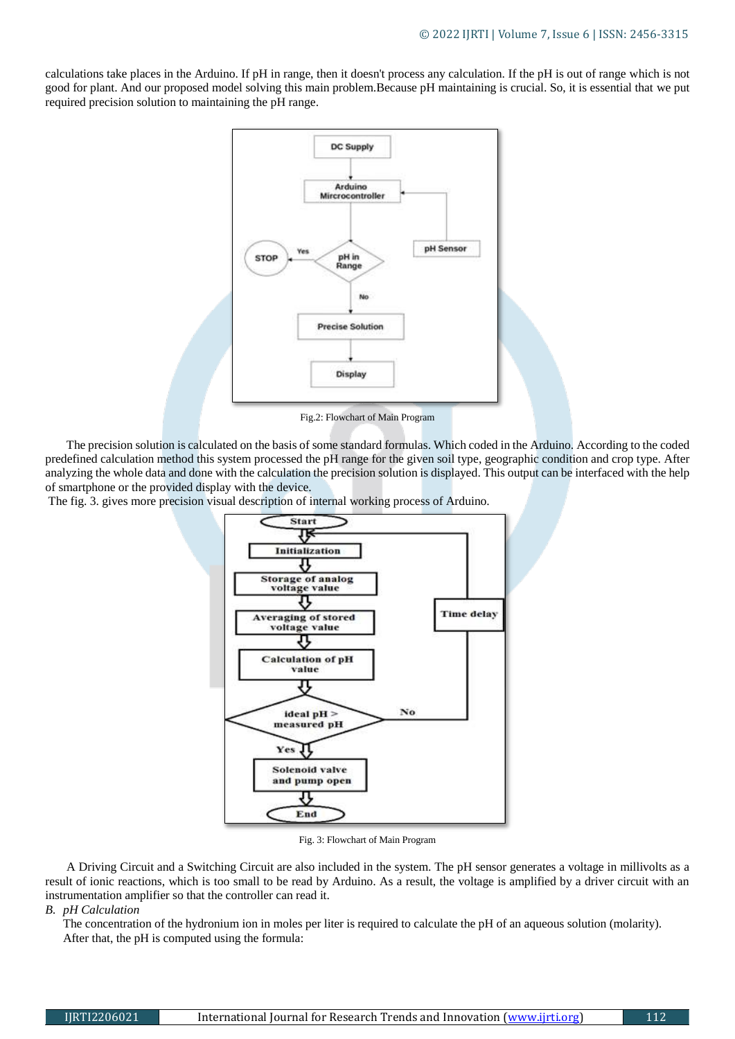calculations take places in the Arduino. If pH in range, then it doesn't process any calculation. If the pH is out of range which is not good for plant. And our proposed model solving this main problem.Because pH maintaining is crucial. So, it is essential that we put required precision solution to maintaining the pH range.



Fig.2: Flowchart of Main Program

 The precision solution is calculated on the basis of some standard formulas. Which coded in the Arduino. According to the coded predefined calculation method this system processed the pH range for the given soil type, geographic condition and crop type. After analyzing the whole data and done with the calculation the precision solution is displayed. This output can be interfaced with the help of smartphone or the provided display with the device.

The fig. 3. gives more precision visual description of internal working process of Arduino.



Fig. 3: Flowchart of Main Program

 A Driving Circuit and a Switching Circuit are also included in the system. The pH sensor generates a voltage in millivolts as a result of ionic reactions, which is too small to be read by Arduino. As a result, the voltage is amplified by a driver circuit with an instrumentation amplifier so that the controller can read it.

## *B. pH Calculation*

The concentration of the hydronium ion in moles per liter is required to calculate the pH of an aqueous solution (molarity). After that, the pH is computed using the formula: